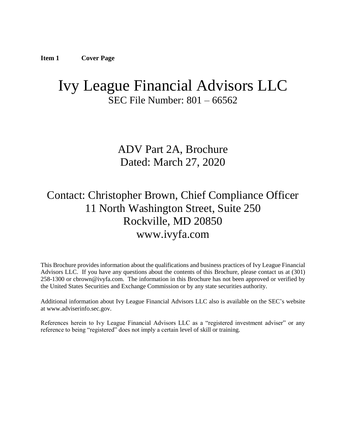# <span id="page-0-0"></span>Ivy League Financial Advisors LLC SEC File Number: 801 – 66562

ADV Part 2A, Brochure Dated: March 27, 2020

# Contact: Christopher Brown, Chief Compliance Officer 11 North Washington Street, Suite 250 Rockville, MD 20850 www.ivyfa.com

This Brochure provides information about the qualifications and business practices of Ivy League Financial Advisors LLC. If you have any questions about the contents of this Brochure, please contact us at (301) 258-1300 or cbrown@ivyfa.com. The information in this Brochure has not been approved or verified by the United States Securities and Exchange Commission or by any state securities authority.

Additional information about Ivy League Financial Advisors LLC also is available on the SEC's website at www.adviserinfo.sec.gov.

<span id="page-0-1"></span>References herein to Ivy League Financial Advisors LLC as a "registered investment adviser" or any reference to being "registered" does not imply a certain level of skill or training.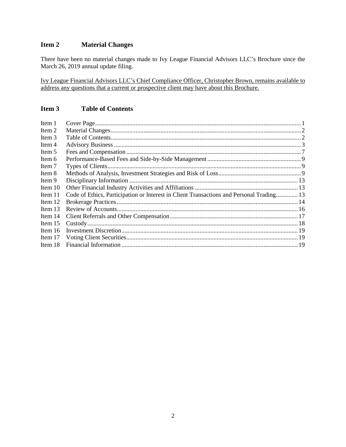# **Item 2 Material Changes**

There have been no material changes made to Ivy League Financial Advisors LLC's Brochure since the March 26, 2019 annual update filing.

Ivy League Financial Advisors LLC's Chief Compliance Officer, Christopher Brown, remains available to address any questions that a current or prospective client may have about this Brochure.

# <span id="page-1-0"></span>**Item 3 Table of Contents**

| Item 1    |                                                                                          |  |
|-----------|------------------------------------------------------------------------------------------|--|
| Item 2    |                                                                                          |  |
| Item 3    |                                                                                          |  |
| Item 4    |                                                                                          |  |
| Item 5    |                                                                                          |  |
| Item 6    |                                                                                          |  |
| Item 7    |                                                                                          |  |
| Item 8    |                                                                                          |  |
| Item 9    |                                                                                          |  |
| Item 10   |                                                                                          |  |
| Item 11   | Code of Ethics, Participation or Interest in Client Transactions and Personal Trading 13 |  |
| Item 12   |                                                                                          |  |
| Item $13$ |                                                                                          |  |
| Item $14$ |                                                                                          |  |
| Item $15$ |                                                                                          |  |
| Item $16$ |                                                                                          |  |
| Item 17   |                                                                                          |  |
| Item 18   |                                                                                          |  |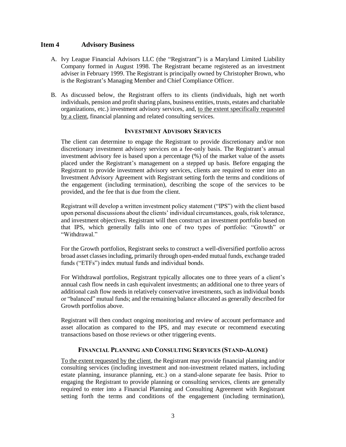## <span id="page-2-0"></span>**Item 4 Advisory Business**

- A. Ivy League Financial Advisors LLC (the "Registrant") is a Maryland Limited Liability Company formed in August 1998. The Registrant became registered as an investment adviser in February 1999. The Registrant is principally owned by Christopher Brown, who is the Registrant's Managing Member and Chief Compliance Officer.
- B. As discussed below, the Registrant offers to its clients (individuals, high net worth individuals, pension and profit sharing plans, business entities, trusts, estates and charitable organizations, etc.) investment advisory services, and, to the extent specifically requested by a client, financial planning and related consulting services.

#### **INVESTMENT ADVISORY SERVICES**

The client can determine to engage the Registrant to provide discretionary and/or non discretionary investment advisory services on a fee-only basis. The Registrant's annual investment advisory fee is based upon a percentage (%) of the market value of the assets placed under the Registrant's management on a stepped up basis. Before engaging the Registrant to provide investment advisory services, clients are required to enter into an Investment Advisory Agreement with Registrant setting forth the terms and conditions of the engagement (including termination), describing the scope of the services to be provided, and the fee that is due from the client.

Registrant will develop a written investment policy statement ("IPS") with the client based upon personal discussions about the clients' individual circumstances, goals, risk tolerance, and investment objectives. Registrant will then construct an investment portfolio based on that IPS, which generally falls into one of two types of portfolio: "Growth" or "Withdrawal."

For the Growth portfolios, Registrant seeks to construct a well-diversified portfolio across broad asset classes including, primarily through open-ended mutual funds, exchange traded funds ("ETFs") index mutual funds and individual bonds.

For Withdrawal portfolios, Registrant typically allocates one to three years of a client's annual cash flow needs in cash equivalent investments; an additional one to three years of additional cash flow needs in relatively conservative investments, such as individual bonds or "balanced" mutual funds; and the remaining balance allocated as generally described for Growth portfolios above.

Registrant will then conduct ongoing monitoring and review of account performance and asset allocation as compared to the IPS, and may execute or recommend executing transactions based on those reviews or other triggering events.

#### **FINANCIAL PLANNING AND CONSULTING SERVICES (STAND-ALONE)**

To the extent requested by the client, the Registrant may provide financial planning and/or consulting services (including investment and non-investment related matters, including estate planning, insurance planning, etc.) on a stand-alone separate fee basis. Prior to engaging the Registrant to provide planning or consulting services, clients are generally required to enter into a Financial Planning and Consulting Agreement with Registrant setting forth the terms and conditions of the engagement (including termination),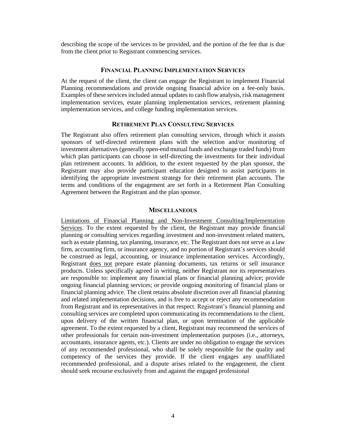describing the scope of the services to be provided, and the portion of the fee that is due from the client prior to Registrant commencing services.

#### **FINANCIAL PLANNING IMPLEMENTATION SERVICES**

At the request of the client, the client can engage the Registrant to implement Financial Planning recommendations and provide ongoing financial advice on a fee-only basis. Examples of these services included annual updates to cash flow analysis, risk management implementation services, estate planning implementation services, retirement planning implementation services, and college funding implementation services.

## **RETIREMENT PLAN CONSULTING SERVICES**

The Registrant also offers retirement plan consulting services, through which it assists sponsors of self-directed retirement plans with the selection and/or monitoring of investment alternatives (generally open-end mutual funds and exchange traded funds) from which plan participants can choose in self-directing the investments for their individual plan retirement accounts. In addition, to the extent requested by the plan sponsor, the Registrant may also provide participant education designed to assist participants in identifying the appropriate investment strategy for their retirement plan accounts. The terms and conditions of the engagement are set forth in a Retirement Plan Consulting Agreement between the Registrant and the plan sponsor.

#### **MISCELLANEOUS**

Limitations of Financial Planning and Non-Investment Consulting/Implementation Services. To the extent requested by the client, the Registrant may provide financial planning or consulting services regarding investment and non-investment related matters, such as estate planning, tax planning, insurance, etc. The Registrant does not serve as a law firm, accounting firm, or insurance agency, and no portion of Registrant's services should be construed as legal, accounting, or insurance implementation services. Accordingly, Registrant does not prepare estate planning documents, tax returns or sell insurance products. Unless specifically agreed in writing, neither Registrant nor its representatives are responsible to: implement any financial plans or financial planning advice; provide ongoing financial planning services; or provide ongoing monitoring of financial plans or financial planning advice. The client retains absolute discretion over all financial planning and related implementation decisions, and is free to accept or reject any recommendation from Registrant and its representatives in that respect. Registrant's financial planning and consulting services are completed upon communicating its recommendations to the client, upon delivery of the written financial plan, or upon termination of the applicable agreement. To the extent requested by a client, Registrant may recommend the services of other professionals for certain non-investment implementation purposes (i.e., attorneys, accountants, insurance agents, etc.). Clients are under no obligation to engage the services of any recommended professional, who shall be solely responsible for the quality and competency of the services they provide. If the client engages any unaffiliated recommended professional, and a dispute arises related to the engagement, the client should seek recourse exclusively from and against the engaged professional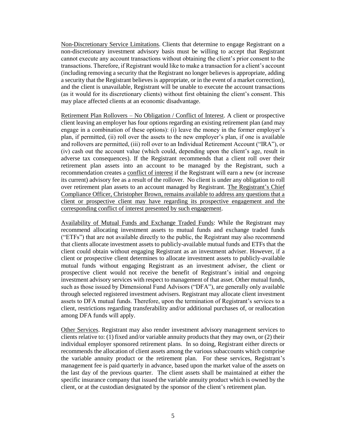Non-Discretionary Service Limitations. Clients that determine to engage Registrant on a non-discretionary investment advisory basis must be willing to accept that Registrant cannot execute any account transactions without obtaining the client's prior consent to the transactions. Therefore, if Registrant would like to make a transaction for a client's account (including removing a security that the Registrant no longer believes is appropriate, adding a security that the Registrant believes is appropriate, or in the event of a market correction), and the client is unavailable, Registrant will be unable to execute the account transactions (as it would for its discretionary clients) without first obtaining the client's consent. This may place affected clients at an economic disadvantage.

Retirement Plan Rollovers – No Obligation / Conflict of Interest. A client or prospective client leaving an employer has four options regarding an existing retirement plan (and may engage in a combination of these options): (i) leave the money in the former employer's plan, if permitted, (ii) roll over the assets to the new employer's plan, if one is available and rollovers are permitted, (iii) roll over to an Individual Retirement Account ("IRA"), or (iv) cash out the account value (which could, depending upon the client's age, result in adverse tax consequences). If the Registrant recommends that a client roll over their retirement plan assets into an account to be managed by the Registrant, such a recommendation creates a conflict of interest if the Registrant will earn a new (or increase its current) advisory fee as a result of the rollover. No client is under any obligation to roll over retirement plan assets to an account managed by Registrant. The Registrant's Chief Compliance Officer, Christopher Brown, remains available to address any questions that a client or prospective client may have regarding its prospective engagement and the corresponding conflict of interest presented by such engagement.

Availability of Mutual Funds and Exchange Traded Funds: While the Registrant may recommend allocating investment assets to mutual funds and exchange traded funds ("ETFs") that are not available directly to the public, the Registrant may also recommend that clients allocate investment assets to publicly-available mutual funds and ETFs that the client could obtain without engaging Registrant as an investment adviser. However, if a client or prospective client determines to allocate investment assets to publicly-available mutual funds without engaging Registrant as an investment adviser, the client or prospective client would not receive the benefit of Registrant's initial and ongoing investment advisory services with respect to management of that asset. Other mutual funds, such as those issued by Dimensional Fund Advisors ("DFA"), are generally only available through selected registered investment advisers. Registrant may allocate client investment assets to DFA mutual funds. Therefore, upon the termination of Registrant's services to a client, restrictions regarding transferability and/or additional purchases of, or reallocation among DFA funds will apply.

Other Services. Registrant may also render investment advisory management services to clients relative to: (1) fixed and/or variable annuity products that they may own, or (2) their individual employer sponsored retirement plans. In so doing, Registrant either directs or recommends the allocation of client assets among the various subaccounts which comprise the variable annuity product or the retirement plan. For these services, Registrant's management fee is paid quarterly in advance, based upon the market value of the assets on the last day of the previous quarter. The client assets shall be maintained at either the specific insurance company that issued the variable annuity product which is owned by the client, or at the custodian designated by the sponsor of the client's retirement plan.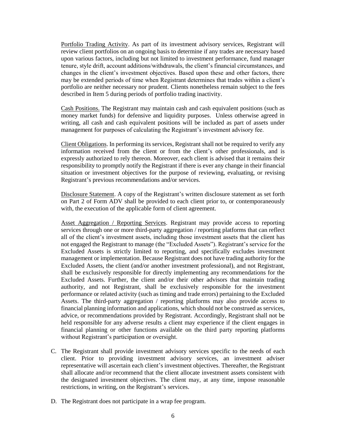Portfolio Trading Activity. As part of its investment advisory services, Registrant will review client portfolios on an ongoing basis to determine if any trades are necessary based upon various factors, including but not limited to investment performance, fund manager tenure, style drift, account additions/withdrawals, the client's financial circumstances, and changes in the client's investment objectives. Based upon these and other factors, there may be extended periods of time when Registrant determines that trades within a client's portfolio are neither necessary nor prudent. Clients nonetheless remain subject to the fees described in Item 5 during periods of portfolio trading inactivity.

Cash Positions. The Registrant may maintain cash and cash equivalent positions (such as money market funds) for defensive and liquidity purposes. Unless otherwise agreed in writing, all cash and cash equivalent positions will be included as part of assets under management for purposes of calculating the Registrant's investment advisory fee.

Client Obligations. In performing its services, Registrant shall not be required to verify any information received from the client or from the client's other professionals, and is expressly authorized to rely thereon. Moreover, each client is advised that it remains their responsibility to promptly notify the Registrant if there is ever any change in their financial situation or investment objectives for the purpose of reviewing, evaluating, or revising Registrant's previous recommendations and/or services.

Disclosure Statement. A copy of the Registrant's written disclosure statement as set forth on Part 2 of Form ADV shall be provided to each client prior to, or contemporaneously with, the execution of the applicable form of client agreement.

Asset Aggregation / Reporting Services. Registrant may provide access to reporting services through one or more third-party aggregation / reporting platforms that can reflect all of the client's investment assets, including those investment assets that the client has not engaged the Registrant to manage (the "Excluded Assets"). Registrant's service for the Excluded Assets is strictly limited to reporting, and specifically excludes investment management or implementation. Because Registrant does not have trading authority for the Excluded Assets, the client (and/or another investment professional), and not Registrant, shall be exclusively responsible for directly implementing any recommendations for the Excluded Assets. Further, the client and/or their other advisors that maintain trading authority, and not Registrant, shall be exclusively responsible for the investment performance or related activity (such as timing and trade errors) pertaining to the Excluded Assets. The third-party aggregation / reporting platforms may also provide access to financial planning information and applications, which should not be construed as services, advice, or recommendations provided by Registrant. Accordingly, Registrant shall not be held responsible for any adverse results a client may experience if the client engages in financial planning or other functions available on the third party reporting platforms without Registrant's participation or oversight.

- C. The Registrant shall provide investment advisory services specific to the needs of each client. Prior to providing investment advisory services, an investment adviser representative will ascertain each client's investment objectives. Thereafter, the Registrant shall allocate and/or recommend that the client allocate investment assets consistent with the designated investment objectives. The client may, at any time, impose reasonable restrictions, in writing, on the Registrant's services.
- D. The Registrant does not participate in a wrap fee program.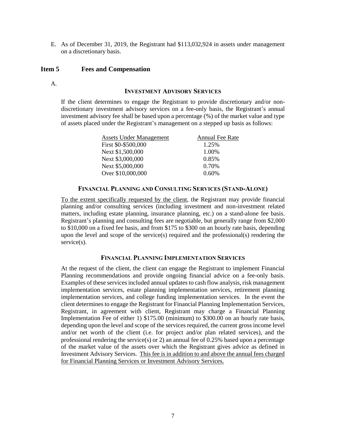E. As of December 31, 2019, the Registrant had \$113,032,924 in assets under management on a discretionary basis.

### <span id="page-6-0"></span>**Item 5 Fees and Compensation**

A.

### **INVESTMENT ADVISORY SERVICES**

If the client determines to engage the Registrant to provide discretionary and/or nondiscretionary investment advisory services on a fee-only basis, the Registrant's annual investment advisory fee shall be based upon a percentage (%) of the market value and type of assets placed under the Registrant's management on a stepped up basis as follows:

| Assets Under Management | Annual Fee Rate |
|-------------------------|-----------------|
| First \$0-\$500,000     | 1.25%           |
| Next \$1,500,000        | 1.00%           |
| Next \$3,000,000        | 0.85%           |
| Next \$5,000,000        | 0.70%           |
| Over \$10,000,000       | $0.60\%$        |

#### **FINANCIAL PLANNING AND CONSULTING SERVICES (STAND-ALONE)**

To the extent specifically requested by the client, the Registrant may provide financial planning and/or consulting services (including investment and non-investment related matters, including estate planning, insurance planning, etc.) on a stand-alone fee basis. Registrant's planning and consulting fees are negotiable, but generally range from \$2,000 to \$10,000 on a fixed fee basis, and from \$175 to \$300 on an hourly rate basis, depending upon the level and scope of the service(s) required and the professional(s) rendering the service(s).

### **FINANCIAL PLANNING IMPLEMENTATION SERVICES**

At the request of the client, the client can engage the Registrant to implement Financial Planning recommendations and provide ongoing financial advice on a fee-only basis. Examples of these services included annual updates to cash flow analysis, risk management implementation services, estate planning implementation services, retirement planning implementation services, and college funding implementation services. In the event the client determines to engage the Registrant for Financial Planning Implementation Services, Registrant, in agreement with client, Registrant may charge a Financial Planning Implementation Fee of either 1) \$175.00 (minimum) to \$300.00 on an hourly rate basis, depending upon the level and scope of the services required, the current gross income level and/or net worth of the client (i.e. for project and/or plan related services), and the professional rendering the service(s) or 2) an annual fee of 0.25% based upon a percentage of the market value of the assets over which the Registrant gives advice as defined in Investment Advisory Services. This fee is in addition to and above the annual fees charged for Financial Planning Services or Investment Advisory Services.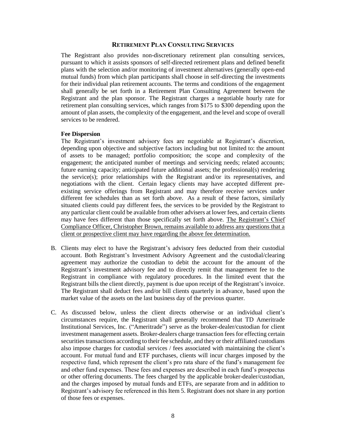#### **RETIREMENT PLAN CONSULTING SERVICES**

The Registrant also provides non-discretionary retirement plan consulting services, pursuant to which it assists sponsors of self-directed retirement plans and defined benefit plans with the selection and/or monitoring of investment alternatives (generally open-end mutual funds) from which plan participants shall choose in self-directing the investments for their individual plan retirement accounts. The terms and conditions of the engagement shall generally be set forth in a Retirement Plan Consulting Agreement between the Registrant and the plan sponsor. The Registrant charges a negotiable hourly rate for retirement plan consulting services, which ranges from \$175 to \$300 depending upon the amount of plan assets, the complexity of the engagement, and the level and scope of overall services to be rendered.

#### **Fee Dispersion**

The Registrant's investment advisory fees are negotiable at Registrant's discretion, depending upon objective and subjective factors including but not limited to: the amount of assets to be managed; portfolio composition; the scope and complexity of the engagement; the anticipated number of meetings and servicing needs; related accounts; future earning capacity; anticipated future additional assets; the professional(s) rendering the service(s); prior relationships with the Registrant and/or its representatives, and negotiations with the client. Certain legacy clients may have accepted different preexisting service offerings from Registrant and may therefore receive services under different fee schedules than as set forth above. As a result of these factors, similarly situated clients could pay different fees, the services to be provided by the Registrant to any particular client could be available from other advisers at lower fees, and certain clients may have fees different than those specifically set forth above. The Registrant's Chief Compliance Officer, Christopher Brown, remains available to address any questions that a client or prospective client may have regarding the above fee determination.

- B. Clients may elect to have the Registrant's advisory fees deducted from their custodial account. Both Registrant's Investment Advisory Agreement and the custodial/clearing agreement may authorize the custodian to debit the account for the amount of the Registrant's investment advisory fee and to directly remit that management fee to the Registrant in compliance with regulatory procedures. In the limited event that the Registrant bills the client directly, payment is due upon receipt of the Registrant's invoice. The Registrant shall deduct fees and/or bill clients quarterly in advance, based upon the market value of the assets on the last business day of the previous quarter.
- C. As discussed below, unless the client directs otherwise or an individual client's circumstances require, the Registrant shall generally recommend that TD Ameritrade Institutional Services, Inc. ("Ameritrade") serve as the broker-dealer/custodian for client investment management assets. Broker-dealers charge transaction fees for effecting certain securities transactions according to their fee schedule, and they or their affiliated custodians also impose charges for custodial services / fees associated with maintaining the client's account. For mutual fund and ETF purchases, clients will incur charges imposed by the respective fund, which represent the client's pro rata share of the fund's management fee and other fund expenses. These fees and expenses are described in each fund's prospectus or other offering documents. The fees charged by the applicable broker-dealer/custodian, and the charges imposed by mutual funds and ETFs, are separate from and in addition to Registrant's advisory fee referenced in this Item 5. Registrant does not share in any portion of those fees or expenses.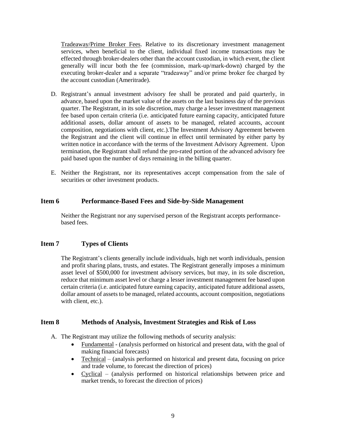Tradeaway/Prime Broker Fees. Relative to its discretionary investment management services, when beneficial to the client, individual fixed income transactions may be effected through broker-dealers other than the account custodian, in which event, the client generally will incur both the fee (commission, mark-up/mark-down) charged by the executing broker-dealer and a separate "tradeaway" and/or prime broker fee charged by the account custodian (Ameritrade).

- D. Registrant's annual investment advisory fee shall be prorated and paid quarterly, in advance, based upon the market value of the assets on the last business day of the previous quarter. The Registrant, in its sole discretion, may charge a lesser investment management fee based upon certain criteria (i.e. anticipated future earning capacity, anticipated future additional assets, dollar amount of assets to be managed, related accounts, account composition, negotiations with client, etc.).The Investment Advisory Agreement between the Registrant and the client will continue in effect until terminated by either party by written notice in accordance with the terms of the Investment Advisory Agreement. Upon termination, the Registrant shall refund the pro-rated portion of the advanced advisory fee paid based upon the number of days remaining in the billing quarter.
- E. Neither the Registrant, nor its representatives accept compensation from the sale of securities or other investment products.

# **Item 6 Performance-Based Fees and Side-by-Side Management**

<span id="page-8-1"></span><span id="page-8-0"></span>Neither the Registrant nor any supervised person of the Registrant accepts performancebased fees.

# **Item 7 Types of Clients**

<span id="page-8-2"></span>The Registrant's clients generally include individuals, high net worth individuals, pension and profit sharing plans, trusts, and estates. The Registrant generally imposes a minimum asset level of \$500,000 for investment advisory services, but may, in its sole discretion, reduce that minimum asset level or charge a lesser investment management fee based upon certain criteria (i.e. anticipated future earning capacity, anticipated future additional assets, dollar amount of assets to be managed, related accounts, account composition, negotiations with client, etc.).

## **Item 8 Methods of Analysis, Investment Strategies and Risk of Loss**

- A. The Registrant may utilize the following methods of security analysis:
	- Fundamental (analysis performed on historical and present data, with the goal of making financial forecasts)
	- Technical (analysis performed on historical and present data, focusing on price and trade volume, to forecast the direction of prices)
	- Cyclical (analysis performed on historical relationships between price and market trends, to forecast the direction of prices)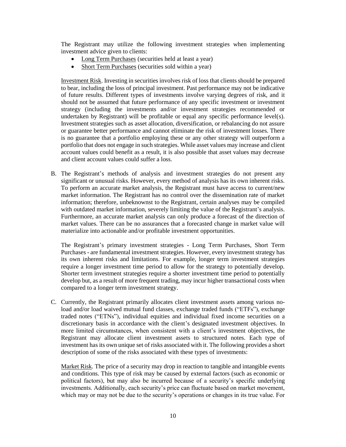The Registrant may utilize the following investment strategies when implementing investment advice given to clients:

- Long Term Purchases (securities held at least a year)
- Short Term Purchases (securities sold within a year)

Investment Risk. Investing in securities involves risk of loss that clients should be prepared to bear, including the loss of principal investment. Past performance may not be indicative of future results. Different types of investments involve varying degrees of risk, and it should not be assumed that future performance of any specific investment or investment strategy (including the investments and/or investment strategies recommended or undertaken by Registrant) will be profitable or equal any specific performance level(s). Investment strategies such as asset allocation, diversification, or rebalancing do not assure or guarantee better performance and cannot eliminate the risk of investment losses. There is no guarantee that a portfolio employing these or any other strategy will outperform a portfolio that does not engage in such strategies. While asset values may increase and client account values could benefit as a result, it is also possible that asset values may decrease and client account values could suffer a loss.

B. The Registrant's methods of analysis and investment strategies do not present any significant or unusual risks. However, every method of analysis has its own inherent risks. To perform an accurate market analysis, the Registrant must have access to current/new market information. The Registrant has no control over the dissemination rate of market information; therefore, unbeknownst to the Registrant, certain analyses may be compiled with outdated market information, severely limiting the value of the Registrant's analysis. Furthermore, an accurate market analysis can only produce a forecast of the direction of market values. There can be no assurances that a forecasted change in market value will materialize into actionable and/or profitable investment opportunities.

The Registrant's primary investment strategies - Long Term Purchases, Short Term Purchases - are fundamental investment strategies. However, every investment strategy has its own inherent risks and limitations. For example, longer term investment strategies require a longer investment time period to allow for the strategy to potentially develop. Shorter term investment strategies require a shorter investment time period to potentially develop but, as a result of more frequent trading, may incur higher transactional costs when compared to a longer term investment strategy.

C. Currently, the Registrant primarily allocates client investment assets among various noload and/or load waived mutual fund classes, exchange traded funds ("ETFs"), exchange traded notes ("ETNs"), individual equities and individual fixed income securities on a discretionary basis in accordance with the client's designated investment objectives. In more limited circumstances, when consistent with a client's investment objectives, the Registrant may allocate client investment assets to structured notes. Each type of investment has its own unique set of risks associated with it. The following provides a short description of some of the risks associated with these types of investments:

Market Risk. The price of a security may drop in reaction to tangible and intangible events and conditions. This type of risk may be caused by external factors (such as economic or political factors), but may also be incurred because of a security's specific underlying investments. Additionally, each security's price can fluctuate based on market movement, which may or may not be due to the security's operations or changes in its true value. For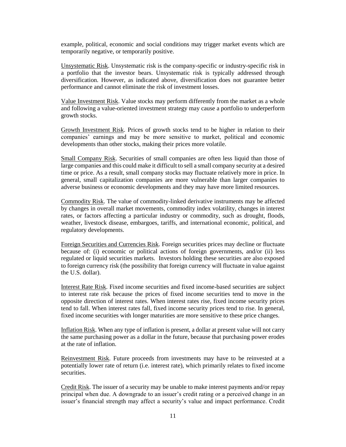example, political, economic and social conditions may trigger market events which are temporarily negative, or temporarily positive.

Unsystematic Risk. Unsystematic risk is the company-specific or industry-specific risk in a portfolio that the investor bears. Unsystematic risk is typically addressed through diversification. However, as indicated above, diversification does not guarantee better performance and cannot eliminate the risk of investment losses.

Value Investment Risk. Value stocks may perform differently from the market as a whole and following a value-oriented investment strategy may cause a portfolio to underperform growth stocks.

Growth Investment Risk. Prices of growth stocks tend to be higher in relation to their companies' earnings and may be more sensitive to market, political and economic developments than other stocks, making their prices more volatile.

Small Company Risk. Securities of small companies are often less liquid than those of large companies and this could make it difficult to sell a small company security at a desired time or price. As a result, small company stocks may fluctuate relatively more in price. In general, small capitalization companies are more vulnerable than larger companies to adverse business or economic developments and they may have more limited resources.

Commodity Risk. The value of commodity-linked derivative instruments may be affected by changes in overall market movements, commodity index volatility, changes in interest rates, or factors affecting a particular industry or commodity, such as drought, floods, weather, livestock disease, embargoes, tariffs, and international economic, political, and regulatory developments.

Foreign Securities and Currencies Risk. Foreign securities prices may decline or fluctuate because of: (i) economic or political actions of foreign governments, and/or (ii) less regulated or liquid securities markets. Investors holding these securities are also exposed to foreign currency risk (the possibility that foreign currency will fluctuate in value against the U.S. dollar).

Interest Rate Risk. Fixed income securities and fixed income-based securities are subject to interest rate risk because the prices of fixed income securities tend to move in the opposite direction of interest rates. When interest rates rise, fixed income security prices tend to fall. When interest rates fall, fixed income security prices tend to rise. In general, fixed income securities with longer maturities are more sensitive to these price changes.

Inflation Risk. When any type of inflation is present, a dollar at present value will not carry the same purchasing power as a dollar in the future, because that purchasing power erodes at the rate of inflation.

Reinvestment Risk. Future proceeds from investments may have to be reinvested at a potentially lower rate of return (i.e. interest rate), which primarily relates to fixed income securities.

Credit Risk. The issuer of a security may be unable to make interest payments and/or repay principal when due. A downgrade to an issuer's credit rating or a perceived change in an issuer's financial strength may affect a security's value and impact performance. Credit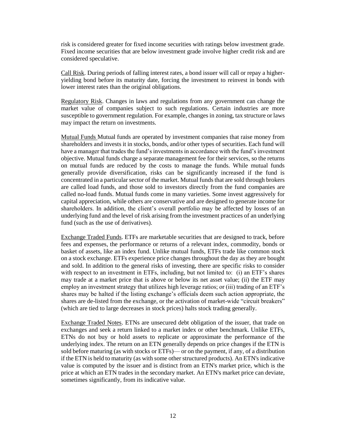risk is considered greater for fixed income securities with ratings below investment grade. Fixed income securities that are below investment grade involve higher credit risk and are considered speculative.

Call Risk. During periods of falling interest rates, a bond issuer will call or repay a higheryielding bond before its maturity date, forcing the investment to reinvest in bonds with lower interest rates than the original obligations.

Regulatory Risk. Changes in laws and regulations from any government can change the market value of companies subject to such regulations. Certain industries are more susceptible to government regulation. For example, changes in zoning, tax structure or laws may impact the return on investments.

Mutual Funds Mutual funds are operated by investment companies that raise money from shareholders and invests it in stocks, bonds, and/or other types of securities. Each fund will have a manager that trades the fund's investments in accordance with the fund's investment objective. Mutual funds charge a separate management fee for their services, so the returns on mutual funds are reduced by the costs to manage the funds. While mutual funds generally provide diversification, risks can be significantly increased if the fund is concentrated in a particular sector of the market. Mutual funds that are sold through brokers are called load funds, and those sold to investors directly from the fund companies are called no-load funds. Mutual funds come in many varieties. Some invest aggressively for capital appreciation, while others are conservative and are designed to generate income for shareholders. In addition, the client's overall portfolio may be affected by losses of an underlying fund and the level of risk arising from the investment practices of an underlying fund (such as the use of derivatives).

Exchange Traded Funds. ETFs are marketable securities that are designed to track, before fees and expenses, the performance or returns of a relevant index, commodity, bonds or basket of assets, like an index fund. Unlike mutual funds, ETFs trade like common stock on a stock exchange. ETFs experience price changes throughout the day as they are bought and sold. In addition to the general risks of investing, there are specific risks to consider with respect to an investment in ETFs, including, but not limited to: (i) an ETF's shares may trade at a market price that is above or below its net asset value; (ii) the ETF may employ an investment strategy that utilizes high leverage ratios; or (iii) trading of an ETF's shares may be halted if the listing exchange's officials deem such action appropriate, the shares are de-listed from the exchange, or the activation of market-wide "circuit breakers" (which are tied to large decreases in stock prices) halts stock trading generally.

Exchange Traded Notes. ETNs are unsecured debt obligation of the issuer, that trade on exchanges and seek a return linked to a market index or other benchmark. Unlike ETFs, ETNs do not buy or hold assets to replicate or approximate the performance of the underlying index. The return on an ETN generally depends on price changes if the ETN is sold before maturing (as with stocks or ETFs)— or on the payment, if any, of a distribution if the ETN is held to maturity (as with some other structured products). An ETN's indicative value is computed by the issuer and is distinct from an ETN's market price, which is the price at which an ETN trades in the secondary market. An ETN's market price can deviate, sometimes significantly, from its indicative value.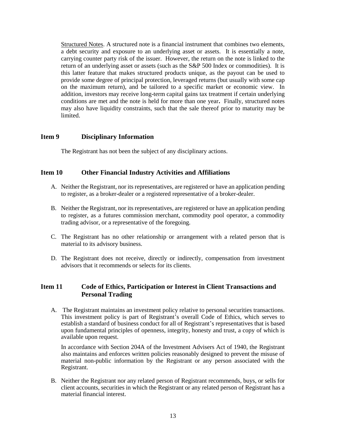Structured Notes. A structured note is a financial instrument that combines two elements, a debt security and exposure to an underlying asset or assets. It is essentially a note, carrying counter party risk of the issuer. However, the return on the note is linked to the return of an underlying asset or assets (such as the S&P 500 Index or commodities). It is this latter feature that makes structured products unique, as the payout can be used to provide some degree of principal protection, leveraged returns (but usually with some cap on the maximum return), and be tailored to a specific market or economic view. In addition, investors may receive long-term capital gains tax treatment if certain underlying conditions are met and the note is held for more than one year**.** Finally, structured notes may also have liquidity constraints, such that the sale thereof prior to maturity may be limited.

# <span id="page-12-0"></span>**Item 9 Disciplinary Information**

The Registrant has not been the subject of any disciplinary actions.

## <span id="page-12-1"></span>**Item 10 Other Financial Industry Activities and Affiliations**

- A. Neither the Registrant, nor its representatives, are registered or have an application pending to register, as a broker-dealer or a registered representative of a broker-dealer.
- B. Neither the Registrant, nor its representatives, are registered or have an application pending to register, as a futures commission merchant, commodity pool operator, a commodity trading advisor, or a representative of the foregoing.
- C. The Registrant has no other relationship or arrangement with a related person that is material to its advisory business.
- D. The Registrant does not receive, directly or indirectly, compensation from investment advisors that it recommends or selects for its clients.

# <span id="page-12-2"></span>**Item 11 Code of Ethics, Participation or Interest in Client Transactions and Personal Trading**

A. The Registrant maintains an investment policy relative to personal securities transactions. This investment policy is part of Registrant's overall Code of Ethics, which serves to establish a standard of business conduct for all of Registrant's representatives that is based upon fundamental principles of openness, integrity, honesty and trust, a copy of which is available upon request.

In accordance with Section 204A of the Investment Advisers Act of 1940, the Registrant also maintains and enforces written policies reasonably designed to prevent the misuse of material non-public information by the Registrant or any person associated with the Registrant.

B. Neither the Registrant nor any related person of Registrant recommends, buys, or sells for client accounts, securities in which the Registrant or any related person of Registrant has a material financial interest.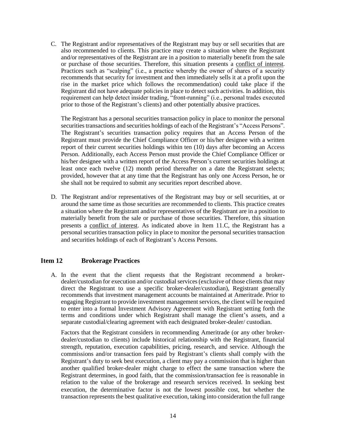C. The Registrant and/or representatives of the Registrant may buy or sell securities that are also recommended to clients. This practice may create a situation where the Registrant and/or representatives of the Registrant are in a position to materially benefit from the sale or purchase of those securities. Therefore, this situation presents a conflict of interest. Practices such as "scalping" (i.e., a practice whereby the owner of shares of a security recommends that security for investment and then immediately sells it at a profit upon the rise in the market price which follows the recommendation) could take place if the Registrant did not have adequate policies in place to detect such activities. In addition, this requirement can help detect insider trading, "front-running" (i.e., personal trades executed prior to those of the Registrant's clients) and other potentially abusive practices.

The Registrant has a personal securities transaction policy in place to monitor the personal securities transactions and securities holdings of each of the Registrant's "Access Persons". The Registrant's securities transaction policy requires that an Access Person of the Registrant must provide the Chief Compliance Officer or his/her designee with a written report of their current securities holdings within ten (10) days after becoming an Access Person. Additionally, each Access Person must provide the Chief Compliance Officer or his/her designee with a written report of the Access Person's current securities holdings at least once each twelve (12) month period thereafter on a date the Registrant selects; provided, however that at any time that the Registrant has only one Access Person, he or she shall not be required to submit any securities report described above.

D. The Registrant and/or representatives of the Registrant may buy or sell securities, at or around the same time as those securities are recommended to clients. This practice creates a situation where the Registrant and/or representatives of the Registrant are in a position to materially benefit from the sale or purchase of those securities. Therefore, this situation presents a conflict of interest. As indicated above in Item 11.C, the Registrant has a personal securities transaction policy in place to monitor the personal securities transaction and securities holdings of each of Registrant's Access Persons.

## **Item 12 Brokerage Practices**

<span id="page-13-0"></span>A. In the event that the client requests that the Registrant recommend a brokerdealer/custodian for execution and/or custodial services (exclusive of those clients that may direct the Registrant to use a specific broker-dealer/custodian), Registrant generally recommends that investment management accounts be maintained at Ameritrade. Prior to engaging Registrant to provide investment management services, the client will be required to enter into a formal Investment Advisory Agreement with Registrant setting forth the terms and conditions under which Registrant shall manage the client's assets, and a separate custodial/clearing agreement with each designated broker-dealer/ custodian.

Factors that the Registrant considers in recommending Ameritrade (or any other brokerdealer/custodian to clients) include historical relationship with the Registrant, financial strength, reputation, execution capabilities, pricing, research, and service. Although the commissions and/or transaction fees paid by Registrant's clients shall comply with the Registrant's duty to seek best execution, a client may pay a commission that is higher than another qualified broker-dealer might charge to effect the same transaction where the Registrant determines, in good faith, that the commission/transaction fee is reasonable in relation to the value of the brokerage and research services received. In seeking best execution, the determinative factor is not the lowest possible cost, but whether the transaction represents the best qualitative execution, taking into consideration the full range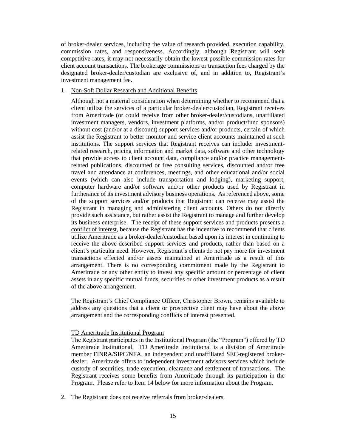of broker-dealer services, including the value of research provided, execution capability, commission rates, and responsiveness. Accordingly, although Registrant will seek competitive rates, it may not necessarily obtain the lowest possible commission rates for client account transactions. The brokerage commissions or transaction fees charged by the designated broker-dealer/custodian are exclusive of, and in addition to, Registrant's investment management fee.

### 1. Non-Soft Dollar Research and Additional Benefits

Although not a material consideration when determining whether to recommend that a client utilize the services of a particular broker-dealer/custodian, Registrant receives from Ameritrade (or could receive from other broker-dealer/custodians, unaffiliated investment managers, vendors, investment platforms, and/or product/fund sponsors) without cost (and/or at a discount) support services and/or products, certain of which assist the Registrant to better monitor and service client accounts maintained at such institutions. The support services that Registrant receives can include: investmentrelated research, pricing information and market data, software and other technology that provide access to client account data, compliance and/or practice managementrelated publications, discounted or free consulting services, discounted and/or free travel and attendance at conferences, meetings, and other educational and/or social events (which can also include transportation and lodging), marketing support, computer hardware and/or software and/or other products used by Registrant in furtherance of its investment advisory business operations. As referenced above, some of the support services and/or products that Registrant can receive may assist the Registrant in managing and administering client accounts. Others do not directly provide such assistance, but rather assist the Registrant to manage and further develop its business enterprise. The receipt of these support services and products presents a conflict of interest, because the Registrant has the incentive to recommend that clients utilize Ameritrade as a broker-dealer/custodian based upon its interest in continuing to receive the above-described support services and products, rather than based on a client's particular need. However, Registrant's clients do not pay more for investment transactions effected and/or assets maintained at Ameritrade as a result of this arrangement. There is no corresponding commitment made by the Registrant to Ameritrade or any other entity to invest any specific amount or percentage of client assets in any specific mutual funds, securities or other investment products as a result of the above arrangement.

The Registrant's Chief Compliance Officer, Christopher Brown, remains available to address any questions that a client or prospective client may have about the above arrangement and the corresponding conflicts of interest presented.

#### TD Ameritrade Institutional Program

The Registrant participates in the Institutional Program (the "Program") offered by TD Ameritrade Institutional. TD Ameritrade Institutional is a division of Ameritrade member FINRA/SIPC/NFA, an independent and unaffiliated SEC-registered brokerdealer. Ameritrade offers to independent investment advisors services which include custody of securities, trade execution, clearance and settlement of transactions. The Registrant receives some benefits from Ameritrade through its participation in the Program. Please refer to Item 14 below for more information about the Program.

2. The Registrant does not receive referrals from broker-dealers.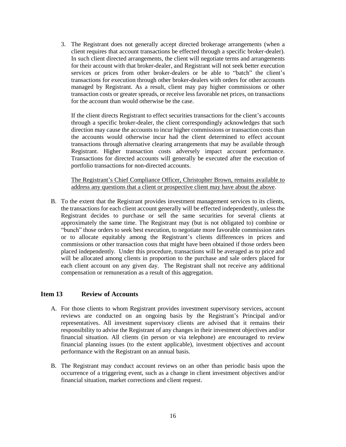3. The Registrant does not generally accept directed brokerage arrangements (when a client requires that account transactions be effected through a specific broker-dealer). In such client directed arrangements, the client will negotiate terms and arrangements for their account with that broker-dealer, and Registrant will not seek better execution services or prices from other broker-dealers or be able to "batch" the client's transactions for execution through other broker-dealers with orders for other accounts managed by Registrant. As a result, client may pay higher commissions or other transaction costs or greater spreads, or receive less favorable net prices, on transactions for the account than would otherwise be the case.

If the client directs Registrant to effect securities transactions for the client's accounts through a specific broker-dealer, the client correspondingly acknowledges that such direction may cause the accounts to incur higher commissions or transaction costs than the accounts would otherwise incur had the client determined to effect account transactions through alternative clearing arrangements that may be available through Registrant. Higher transaction costs adversely impact account performance. Transactions for directed accounts will generally be executed after the execution of portfolio transactions for non-directed accounts.

The Registrant's Chief Compliance Officer, Christopher Brown, remains available to address any questions that a client or prospective client may have about the above.

B. To the extent that the Registrant provides investment management services to its clients, the transactions for each client account generally will be effected independently, unless the Registrant decides to purchase or sell the same securities for several clients at approximately the same time. The Registrant may (but is not obligated to) combine or "bunch" those orders to seek best execution, to negotiate more favorable commission rates or to allocate equitably among the Registrant's clients differences in prices and commissions or other transaction costs that might have been obtained if those orders been placed independently. Under this procedure, transactions will be averaged as to price and will be allocated among clients in proportion to the purchase and sale orders placed for each client account on any given day. The Registrant shall not receive any additional compensation or remuneration as a result of this aggregation.

### <span id="page-15-0"></span>**Item 13 Review of Accounts**

- A. For those clients to whom Registrant provides investment supervisory services, account reviews are conducted on an ongoing basis by the Registrant's Principal and/or representatives. All investment supervisory clients are advised that it remains their responsibility to advise the Registrant of any changes in their investment objectives and/or financial situation. All clients (in person or via telephone) are encouraged to review financial planning issues (to the extent applicable), investment objectives and account performance with the Registrant on an annual basis.
- B. The Registrant may conduct account reviews on an other than periodic basis upon the occurrence of a triggering event, such as a change in client investment objectives and/or financial situation, market corrections and client request.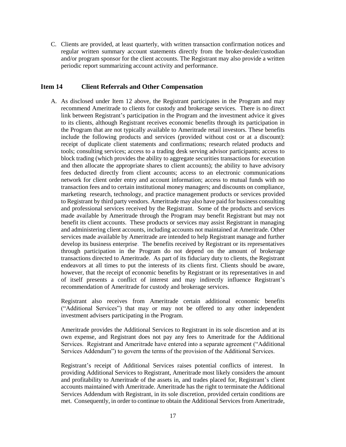<span id="page-16-0"></span>C. Clients are provided, at least quarterly, with written transaction confirmation notices and regular written summary account statements directly from the broker-dealer/custodian and/or program sponsor for the client accounts. The Registrant may also provide a written periodic report summarizing account activity and performance.

## **Item 14 Client Referrals and Other Compensation**

A. As disclosed under Item 12 above, the Registrant participates in the Program and may recommend Ameritrade to clients for custody and brokerage services. There is no direct link between Registrant's participation in the Program and the investment advice it gives to its clients, although Registrant receives economic benefits through its participation in the Program that are not typically available to Ameritrade retail investors. These benefits include the following products and services (provided without cost or at a discount): receipt of duplicate client statements and confirmations; research related products and tools; consulting services; access to a trading desk serving advisor participants; access to block trading (which provides the ability to aggregate securities transactions for execution and then allocate the appropriate shares to client accounts); the ability to have advisory fees deducted directly from client accounts; access to an electronic communications network for client order entry and account information; access to mutual funds with no transaction fees and to certain institutional money managers; and discounts on compliance, marketing research, technology, and practice management products or services provided to Registrant by third party vendors. Ameritrade may also have paid for business consulting and professional services received by the Registrant. Some of the products and services made available by Ameritrade through the Program may benefit Registrant but may not benefit its client accounts. These products or services may assist Registrant in managing and administering client accounts, including accounts not maintained at Ameritrade. Other services made available by Ameritrade are intended to help Registrant manage and further develop its business enterprise. The benefits received by Registrant or its representatives through participation in the Program do not depend on the amount of brokerage transactions directed to Ameritrade. As part of its fiduciary duty to clients, the Registrant endeavors at all times to put the interests of its clients first. Clients should be aware, however, that the receipt of economic benefits by Registrant or its representatives in and of itself presents a conflict of interest and may indirectly influence Registrant's recommendation of Ameritrade for custody and brokerage services.

Registrant also receives from Ameritrade certain additional economic benefits ("Additional Services") that may or may not be offered to any other independent investment advisers participating in the Program.

Ameritrade provides the Additional Services to Registrant in its sole discretion and at its own expense, and Registrant does not pay any fees to Ameritrade for the Additional Services. Registrant and Ameritrade have entered into a separate agreement ("Additional Services Addendum") to govern the terms of the provision of the Additional Services.

Registrant's receipt of Additional Services raises potential conflicts of interest. In providing Additional Services to Registrant, Ameritrade most likely considers the amount and profitability to Ameritrade of the assets in, and trades placed for, Registrant's client accounts maintained with Ameritrade. Ameritrade has the right to terminate the Additional Services Addendum with Registrant, in its sole discretion, provided certain conditions are met. Consequently, in order to continue to obtain the Additional Services from Ameritrade,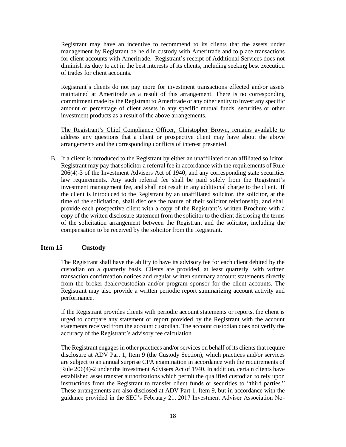Registrant may have an incentive to recommend to its clients that the assets under management by Registrant be held in custody with Ameritrade and to place transactions for client accounts with Ameritrade. Registrant's receipt of Additional Services does not diminish its duty to act in the best interests of its clients, including seeking best execution of trades for client accounts.

Registrant's clients do not pay more for investment transactions effected and/or assets maintained at Ameritrade as a result of this arrangement. There is no corresponding commitment made by the Registrant to Ameritrade or any other entity to invest any specific amount or percentage of client assets in any specific mutual funds, securities or other investment products as a result of the above arrangements.

The Registrant's Chief Compliance Officer, Christopher Brown, remains available to address any questions that a client or prospective client may have about the above arrangements and the corresponding conflicts of interest presented.

B. If a client is introduced to the Registrant by either an unaffiliated or an affiliated solicitor, Registrant may pay that solicitor a referral fee in accordance with the requirements of Rule 206(4)-3 of the Investment Advisers Act of 1940, and any corresponding state securities law requirements. Any such referral fee shall be paid solely from the Registrant's investment management fee, and shall not result in any additional charge to the client. If the client is introduced to the Registrant by an unaffiliated solicitor, the solicitor, at the time of the solicitation, shall disclose the nature of their solicitor relationship, and shall provide each prospective client with a copy of the Registrant's written Brochure with a copy of the written disclosure statement from the solicitor to the client disclosing the terms of the solicitation arrangement between the Registrant and the solicitor, including the compensation to be received by the solicitor from the Registrant.

# <span id="page-17-0"></span>**Item 15 Custody**

The Registrant shall have the ability to have its advisory fee for each client debited by the custodian on a quarterly basis. Clients are provided, at least quarterly, with written transaction confirmation notices and regular written summary account statements directly from the broker-dealer/custodian and/or program sponsor for the client accounts. The Registrant may also provide a written periodic report summarizing account activity and performance.

If the Registrant provides clients with periodic account statements or reports, the client is urged to compare any statement or report provided by the Registrant with the account statements received from the account custodian. The account custodian does not verify the accuracy of the Registrant's advisory fee calculation.

The Registrant engages in other practices and/or services on behalf of its clients that require disclosure at ADV Part 1, Item 9 (the Custody Section), which practices and/or services are subject to an annual surprise CPA examination in accordance with the requirements of Rule 206(4)-2 under the Investment Advisers Act of 1940. In addition, certain clients have established asset transfer authorizations which permit the qualified custodian to rely upon instructions from the Registrant to transfer client funds or securities to "third parties." These arrangements are also disclosed at ADV Part 1, Item 9, but in accordance with the guidance provided in the SEC's February 21, 2017 Investment Adviser Association No-